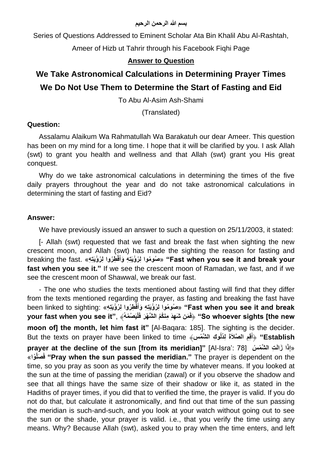#### **بسم هللا الرحمن الرحيم**

Series of Questions Addressed to Eminent Scholar Ata Bin Khalil Abu Al-Rashtah,

Ameer of Hizb ut Tahrir through his Facebook Fiqhi Page

## **Answer to Question**

# **We Take Astronomical Calculations in Determining Prayer Times We Do Not Use Them to Determine the Start of Fasting and Eid**

To Abu Al-Asim Ash-Shami

(Translated)

#### **Question:**

Assalamu Alaikum Wa Rahmatullah Wa Barakatuh our dear Ameer. This question has been on my mind for a long time. I hope that it will be clarified by you. I ask Allah (swt) to grant you health and wellness and that Allah (swt) grant you His great conquest.

Why do we take astronomical calculations in determining the times of the five daily prayers throughout the year and do not take astronomical calculations in determining the start of fasting and Eid?

### **Answer:**

We have previously issued an answer to such a question on 25/11/2003, it stated:

[- Allah (swt) requested that we fast and break the fast when sighting the new crescent moon, and Allah (swt) has made the sighting the reason for fasting and breaking the fast. «صُومُوا لِرُؤْيَتِهِ وَأَفْطِرُوا لِرُؤْيَتِهِ» "Fast when you see it and break your **fast when you see it."** If we see the crescent moon of Ramadan, we fast, and if we see the crescent moon of Shawwal, we break our fast.

- The one who studies the texts mentioned about fasting will find that they differ from the texts mentioned regarding the prayer, as fasting and breaking the fast have been linked to sighting: «صُومُوا لِرُؤْيَتِهِ وَأَفْطِرُوا لِرُؤْيَتِهِ» "Fast when you see it and break So whoever sights [the new'' ﴿فَمَن شَهِدَ مِنْكُمُ الشَّهْرَ فَأَنِصَمْنَهُ﴾ " your fast when you see it" **moon of] the month, let him fast it"** [Al-Baqara: 185]. The sighting is the decider. But the texts on prayer have been linked to time ﴾**سِ مْ شَّ ال كِ وُدلُ لِ قِِم ال َّصالَةَ Establish**﴿ **"أ َ prayer at the decline of the sun [from its meridian]"** [Al-Isra': 78] **سُ مْ شَّ ال تِ ا َزالَ ِذَ** »**إ ْوا َصلَّ َ** » **ف" Pray when the sun passed the meridian."** The prayer is dependent on the time, so you pray as soon as you verify the time by whatever means. If you looked at the sun at the time of passing the meridian (zawal) or if you observe the shadow and see that all things have the same size of their shadow or like it, as stated in the Hadiths of prayer times, if you did that to verified the time, the prayer is valid. If you do not do that, but calculate it astronomically, and find out that time of the sun passing the meridian is such-and-such, and you look at your watch without going out to see the sun or the shade, your prayer is valid. i.e., that you verify the time using any means. Why? Because Allah (swt), asked you to pray when the time enters, and left